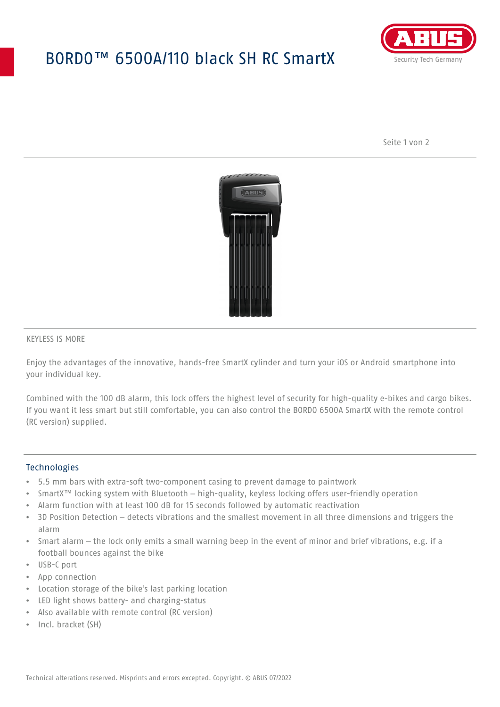## BORDO™ 6500A/110 black SH RC SmartX



Seite 1 von 2



#### KEYLESS IS MORE

Enjoy the advantages of the innovative, hands-free SmartX cylinder and turn your iOS or Android smartphone into your individual key.

Combined with the 100 dB alarm, this lock offers the highest level of security for high-quality e-bikes and cargo bikes. If you want it less smart but still comfortable, you can also control the BORDO 6500A SmartX with the remote control (RC version) supplied.

#### **Technologies**

- 5.5 mm bars with extra-soft two-component casing to prevent damage to paintwork
- SmartX™ locking system with Bluetooth high-quality, keyless locking offers user-friendly operation
- Alarm function with at least 100 dB for 15 seconds followed by automatic reactivation
- 3D Position Detection detects vibrations and the smallest movement in all three dimensions and triggers the alarm
- Smart alarm the lock only emits a small warning beep in the event of minor and brief vibrations, e.g. if a football bounces against the bike
- USB-C port
- App connection
- Location storage of the bike's last parking location
- LED light shows battery- and charging-status
- Also available with remote control (RC version)
- Incl. bracket (SH)